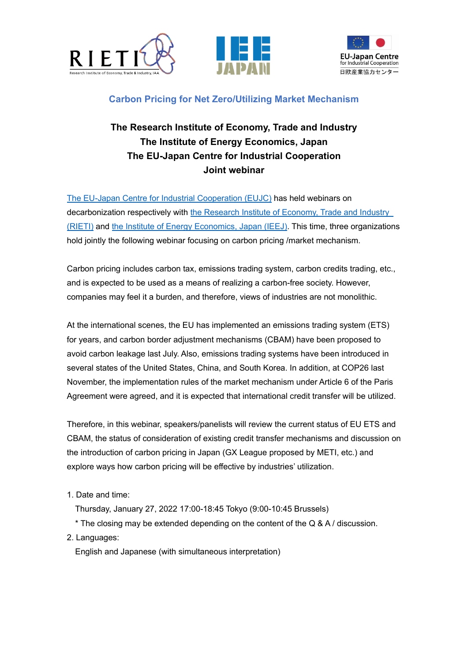





## **Carbon Pricing for Net Zero/Utilizing Market Mechanism**

## **The Research Institute of Economy, Trade and Industry The Institute of Energy Economics, Japan The EU-Japan Centre for Industrial Cooperation Joint webinar**

[The EU-Japan Centre for Industrial Cooperation](https://www.eu-japan.eu/) (EUJC) has held webinars on decarbonization respectively with the Research Institute of Economy, Trade and Industry [\(RIETI\)](https://www.rieti.go.jp/en/) and [the Institute of Energy Economics, Japan \(IEEJ\).](https://eneken.ieej.or.jp/en/) This time, three organizations hold jointly the following webinar focusing on carbon pricing /market mechanism.

Carbon pricing includes carbon tax, emissions trading system, carbon credits trading, etc., and is expected to be used as a means of realizing a carbon-free society. However, companies may feel it a burden, and therefore, views of industries are not monolithic.

At the international scenes, the EU has implemented an emissions trading system (ETS) for years, and carbon border adjustment mechanisms (CBAM) have been proposed to avoid carbon leakage last July. Also, emissions trading systems have been introduced in several states of the United States, China, and South Korea. In addition, at COP26 last November, the implementation rules of the market mechanism under Article 6 of the Paris Agreement were agreed, and it is expected that international credit transfer will be utilized.

Therefore, in this webinar, speakers/panelists will review the current status of EU ETS and CBAM, the status of consideration of existing credit transfer mechanisms and discussion on the introduction of carbon pricing in Japan (GX League proposed by METI, etc.) and explore ways how carbon pricing will be effective by industries' utilization.

- 1. Date and time:
	- Thursday, January 27, 2022 17:00-18:45 Tokyo (9:00-10:45 Brussels)
	- $*$  The closing may be extended depending on the content of the Q & A / discussion.
- 2. Languages:

English and Japanese (with simultaneous interpretation)